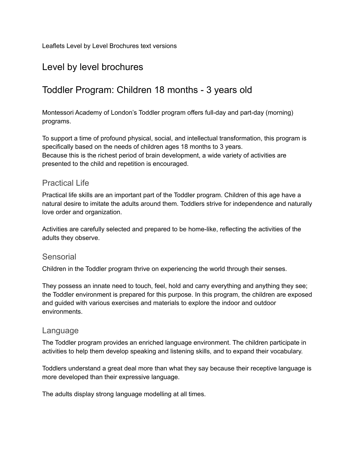Leaflets Level by Level Brochures text versions

### Level by level brochures

### Toddler Program: Children 18 months - 3 years old

Montessori Academy of London's Toddler program offers full-day and part-day (morning) programs.

To support a time of profound physical, social, and intellectual transformation, this program is specifically based on the needs of children ages 18 months to 3 years. Because this is the richest period of brain development, a wide variety of activities are presented to the child and repetition is encouraged.

#### Practical Life

Practical life skills are an important part of the Toddler program. Children of this age have a natural desire to imitate the adults around them. Toddlers strive for independence and naturally love order and organization.

Activities are carefully selected and prepared to be home-like, reflecting the activities of the adults they observe.

#### **Sensorial**

Children in the Toddler program thrive on experiencing the world through their senses.

They possess an innate need to touch, feel, hold and carry everything and anything they see; the Toddler environment is prepared for this purpose. In this program, the children are exposed and guided with various exercises and materials to explore the indoor and outdoor environments.

#### Language

The Toddler program provides an enriched language environment. The children participate in activities to help them develop speaking and listening skills, and to expand their vocabulary.

Toddlers understand a great deal more than what they say because their receptive language is more developed than their expressive language.

The adults display strong language modelling at all times.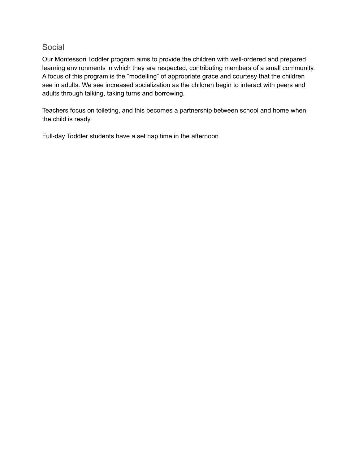#### Social

Our Montessori Toddler program aims to provide the children with well-ordered and prepared learning environments in which they are respected, contributing members of a small community. A focus of this program is the "modelling" of appropriate grace and courtesy that the children see in adults. We see increased socialization as the children begin to interact with peers and adults through talking, taking turns and borrowing.

Teachers focus on toileting, and this becomes a partnership between school and home when the child is ready.

Full-day Toddler students have a set nap time in the afternoon.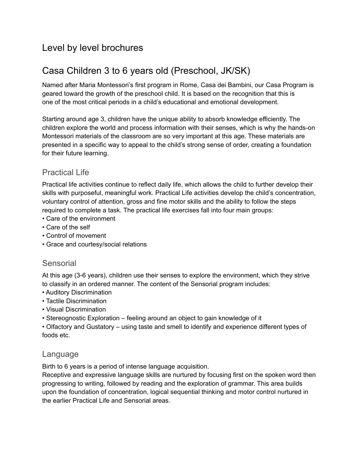## Level by level brochures

# Casa Children 3 to 6 years old (Preschool, JK/SK)

Named after Maria Montessori's first program in Rome, Casa dei Bambini, our Casa Program is geared toward the growth of the preschool child. It is based on the recognition that this is one of the most critical periods in a child's educational and emotional development.

Starting around age 3, children have the unique ability to absorb knowledge efficiently. The children explore the world and process information with their senses, which is why the hands-on Montessori materials of the classroom are so very important at this age. These materials are presented in a specific way to appeal to the child's strong sense of order, creating a foundation for their future learning.

### Practical Life

Practical life activities continue to reflect daily life, which allows the child to further develop their skills with purposeful, meaningful work. Practical Life activities develop the child's concentration, voluntary control of attention, gross and fine motor skills and the ability to follow the steps required to complete a task. The practical life exercises fall into four main groups:

- Care of the environment
- Care of the self
- Control of movement
- Grace and courtesy/social relations

### Sensorial

At this age (3-6 years), children use their senses to explore the environment, which they strive to classify in an ordered manner. The content of the Sensorial program includes:

- Auditory Discrimination
- Tactile Discrimination
- Visual Discrimination
- Stereognostic Exploration feeling around an object to gain knowledge of it

• Olfactory and Gustatory – using taste and smell to identify and experience different types of foods etc.

### Language

Birth to 6 years is a period of intense language acquisition.

Receptive and expressive language skills are nurtured by focusing first on the spoken word then progressing to writing, followed by reading and the exploration of grammar. This area builds upon the foundation of concentration, logical sequential thinking and motor control nurtured in the earlier Practical Life and Sensorial areas.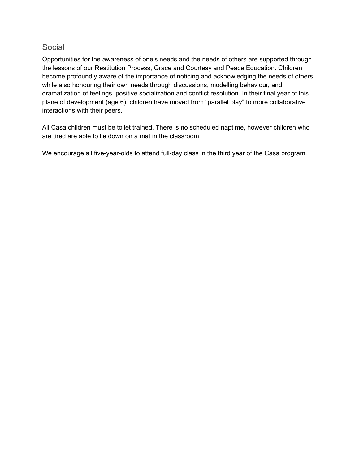### Social

Opportunities for the awareness of one's needs and the needs of others are supported through the lessons of our Restitution Process, Grace and Courtesy and Peace Education. Children become profoundly aware of the importance of noticing and acknowledging the needs of others while also honouring their own needs through discussions, modelling behaviour, and dramatization of feelings, positive socialization and conflict resolution. In their final year of this plane of development (age 6), children have moved from "parallel play" to more collaborative interactions with their peers.

All Casa children must be toilet trained. There is no scheduled naptime, however children who are tired are able to lie down on a mat in the classroom.

We encourage all five-year-olds to attend full-day class in the third year of the Casa program.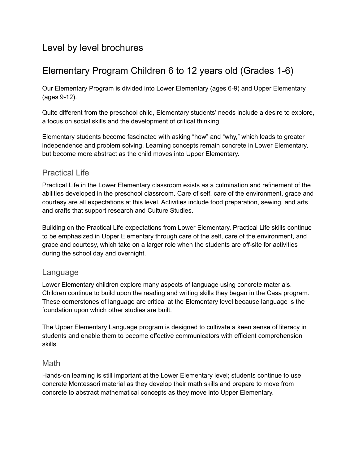## Level by level brochures

# Elementary Program Children 6 to 12 years old (Grades 1-6)

Our Elementary Program is divided into Lower Elementary (ages 6-9) and Upper Elementary (ages 9-12).

Quite different from the preschool child, Elementary students' needs include a desire to explore, a focus on social skills and the development of critical thinking.

Elementary students become fascinated with asking "how" and "why," which leads to greater independence and problem solving. Learning concepts remain concrete in Lower Elementary, but become more abstract as the child moves into Upper Elementary.

### Practical Life

Practical Life in the Lower Elementary classroom exists as a culmination and refinement of the abilities developed in the preschool classroom. Care of self, care of the environment, grace and courtesy are all expectations at this level. Activities include food preparation, sewing, and arts and crafts that support research and Culture Studies.

Building on the Practical Life expectations from Lower Elementary, Practical Life skills continue to be emphasized in Upper Elementary through care of the self, care of the environment, and grace and courtesy, which take on a larger role when the students are off-site for activities during the school day and overnight.

### Language

Lower Elementary children explore many aspects of language using concrete materials. Children continue to build upon the reading and writing skills they began in the Casa program. These cornerstones of language are critical at the Elementary level because language is the foundation upon which other studies are built.

The Upper Elementary Language program is designed to cultivate a keen sense of literacy in students and enable them to become effective communicators with efficient comprehension skills.

### **Math**

Hands-on learning is still important at the Lower Elementary level; students continue to use concrete Montessori material as they develop their math skills and prepare to move from concrete to abstract mathematical concepts as they move into Upper Elementary.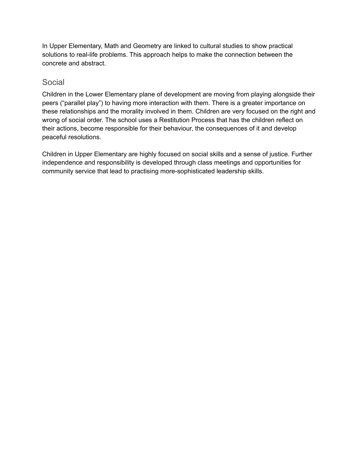In Upper Elementary, Math and Geometry are linked to cultural studies to show practical solutions to real-life problems. This approach helps to make the connection between the concrete and abstract.

### Social

Children in the Lower Elementary plane of development are moving from playing alongside their peers ("parallel play") to having more interaction with them. There is a greater importance on these relationships and the morality involved in them. Children are very focused on the right and wrong of social order. The school uses a Restitution Process that has the children reflect on their actions, become responsible for their behaviour, the consequences of it and develop peaceful resolutions.

Children in Upper Elementary are highly focused on social skills and a sense of justice. Further independence and responsibility is developed through class meetings and opportunities for community service that lead to practising more-sophisticated leadership skills.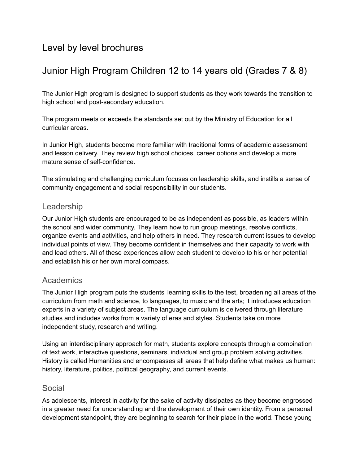### Level by level brochures

# Junior High Program Children 12 to 14 years old (Grades 7 & 8)

The Junior High program is designed to support students as they work towards the transition to high school and post-secondary education.

The program meets or exceeds the standards set out by the Ministry of Education for all curricular areas.

In Junior High, students become more familiar with traditional forms of academic assessment and lesson delivery. They review high school choices, career options and develop a more mature sense of self-confidence.

The stimulating and challenging curriculum focuses on leadership skills, and instills a sense of community engagement and social responsibility in our students.

#### Leadership

Our Junior High students are encouraged to be as independent as possible, as leaders within the school and wider community. They learn how to run group meetings, resolve conflicts, organize events and activities, and help others in need. They research current issues to develop individual points of view. They become confident in themselves and their capacity to work with and lead others. All of these experiences allow each student to develop to his or her potential and establish his or her own moral compass.

### Academics

The Junior High program puts the students' learning skills to the test, broadening all areas of the curriculum from math and science, to languages, to music and the arts; it introduces education experts in a variety of subject areas. The language curriculum is delivered through literature studies and includes works from a variety of eras and styles. Students take on more independent study, research and writing.

Using an interdisciplinary approach for math, students explore concepts through a combination of text work, interactive questions, seminars, individual and group problem solving activities. History is called Humanities and encompasses all areas that help define what makes us human: history, literature, politics, political geography, and current events.

### Social

As adolescents, interest in activity for the sake of activity dissipates as they become engrossed in a greater need for understanding and the development of their own identity. From a personal development standpoint, they are beginning to search for their place in the world. These young